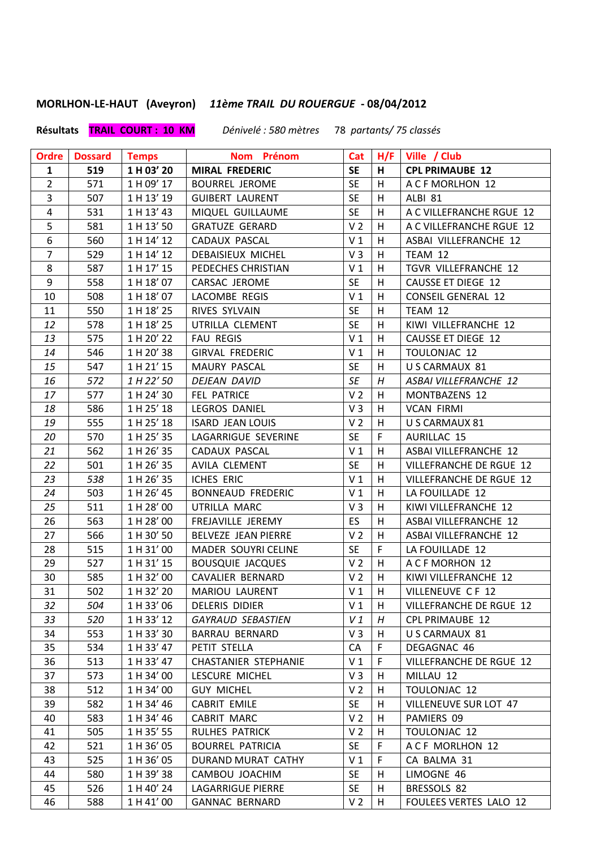**MORLHON-LE-HAUT (Aveyron)** *11ème TRAIL DU ROUERGUE* **- 08/04/2012**

## **Résultats TRAIL COURT : 10 KM** *Dénivelé : 580 mètres*78 *partants/ 75 classés*

| <b>Ordre</b>   | <b>Dossard</b> | <b>Temps</b> | Nom Prénom                  |                |             | Cat   H/F   Ville / Club  |
|----------------|----------------|--------------|-----------------------------|----------------|-------------|---------------------------|
| 1              | 519            | 1 H 03' 20   | <b>MIRAL FREDERIC</b>       | <b>SE</b>      | H           | <b>CPL PRIMAUBE 12</b>    |
| $\overline{2}$ | 571            | 1 H 09' 17   | BOURREL JEROME              | <b>SE</b>      | H           | A C F MORLHON 12          |
| $\overline{3}$ | 507            | 1 H 13' 19   | <b>GUIBERT LAURENT</b>      | <b>SE</b>      | H           | ALBI 81                   |
| $\overline{4}$ | 531            | 1 H 13' 43   | MIQUEL GUILLAUME            | <b>SE</b>      | H           | A C VILLEFRANCHE RGUE 12  |
| 5              | 581            | 1 H 13' 50   | <b>GRATUZE GERARD</b>       | V <sub>2</sub> | H           | A C VILLEFRANCHE RGUE 12  |
| 6              | 560            | 1 H 14' 12   | CADAUX PASCAL               | V <sub>1</sub> | H           | ASBAI VILLEFRANCHE 12     |
| $\overline{7}$ | 529            | 1 H 14' 12   | DEBAISIEUX MICHEL           | V <sub>3</sub> | H           | TEAM 12                   |
| 8              | 587            | 1 H 17' 15   | PEDECHES CHRISTIAN          | V <sub>1</sub> | H           | TGVR VILLEFRANCHE 12      |
| 9              | 558            | 1 H 18' 07   | CARSAC JEROME               | <b>SE</b>      | H           | <b>CAUSSE ET DIEGE 12</b> |
| 10             | 508            | 1 H 18' 07   | LACOMBE REGIS               | V <sub>1</sub> | H           | <b>CONSEIL GENERAL 12</b> |
| 11             | 550            | 1 H 18' 25   | RIVES SYLVAIN               | <b>SE</b>      | H           | TEAM 12                   |
| 12             | 578            | 1 H 18' 25   | UTRILLA CLEMENT             | <b>SE</b>      | H           | KIWI VILLEFRANCHE 12      |
| 13             | 575            | 1 H 20' 22   | <b>FAU REGIS</b>            | V <sub>1</sub> | H           | <b>CAUSSE ET DIEGE 12</b> |
| 14             | 546            | 1 H 20' 38   | <b>GIRVAL FREDERIC</b>      | V <sub>1</sub> | H           | TOULONJAC 12              |
| 15             | 547            | 1 H 21' 15   | MAURY PASCAL                | <b>SE</b>      | H           | U S CARMAUX 81            |
| 16             | 572            | 1 H 22' 50   | DEJEAN DAVID                | SE             | H           | ASBAI VILLEFRANCHE 12     |
| 17             | 577            | 1 H 24' 30   | FEL PATRICE                 | V <sub>2</sub> | H           | MONTBAZENS 12             |
| 18             | 586            | 1 H 25' 18   | LEGROS DANIEL               | V <sub>3</sub> | H           | <b>VCAN FIRMI</b>         |
| 19             | 555            | 1 H 25' 18   | <b>ISARD JEAN LOUIS</b>     | V <sub>2</sub> | H           | U S CARMAUX 81            |
| 20             | 570            | 1 H 25' 35   | LAGARRIGUE SEVERINE         | <b>SE</b>      | $\mathsf F$ | <b>AURILLAC 15</b>        |
| 21             | 562            | 1 H 26' 35   | CADAUX PASCAL               | V <sub>1</sub> | H           | ASBAI VILLEFRANCHE 12     |
| 22             | 501            | 1 H 26' 35   | AVILA CLEMENT               | <b>SE</b>      | H           | VILLEFRANCHE DE RGUE 12   |
| 23             | 538            | 1 H 26' 35   | ICHES ERIC                  | V <sub>1</sub> | H           | VILLEFRANCHE DE RGUE 12   |
| 24             | 503            | 1 H 26' 45   | <b>BONNEAUD FREDERIC</b>    | V <sub>1</sub> | H           | LA FOUILLADE 12           |
| 25             | 511            | 1 H 28' 00   | UTRILLA MARC                | V <sub>3</sub> | H           | KIWI VILLEFRANCHE 12      |
| 26             | 563            | 1 H 28' 00   | FREJAVILLE JEREMY           | ES.            | H           | ASBAI VILLEFRANCHE 12     |
| 27             | 566            | 1 H 30' 50   | BELVEZE JEAN PIERRE         | V <sub>2</sub> | H           | ASBAI VILLEFRANCHE 12     |
| 28             | 515            | 1 H 31' 00   | MADER SOUYRI CELINE         | <b>SE</b>      | $\mathsf F$ | LA FOUILLADE 12           |
| 29             | 527            | 1 H 31' 15   | <b>BOUSQUIE JACQUES</b>     | V <sub>2</sub> | H           | A C F MORHON 12           |
| 30             | 585            | 1 H 32' 00   | CAVALIER BERNARD            | V <sub>2</sub> | H           | KIWI VILLEFRANCHE 12      |
| 31             | 502            | 1 H 32' 20   | <b>MARIOU LAURENT</b>       | V <sub>1</sub> | H           | VILLENEUVE CF 12          |
| 32             | 504            | 1 H 33' 06   | DELERIS DIDIER              | V <sub>1</sub> | H           | VILLEFRANCHE DE RGUE 12   |
| 33             | 520            | 1 H 33' 12   | <b>GAYRAUD SEBASTIEN</b>    | V1             | Н           | <b>CPL PRIMAUBE 12</b>    |
| 34             | 553            | 1 H 33' 30   | <b>BARRAU BERNARD</b>       | $V_3$          | H           | U S CARMAUX 81            |
| 35             | 534            | 1 H 33' 47   | PETIT STELLA                | CA             | F           | DEGAGNAC 46               |
| 36             | 513            | 1 H 33' 47   | <b>CHASTANIER STEPHANIE</b> | V <sub>1</sub> | F           | VILLEFRANCHE DE RGUE 12   |
| 37             | 573            | 1 H 34' 00   | LESCURE MICHEL              | $V_3$          | H           | MILLAU 12                 |
| 38             | 512            | 1 H 34' 00   | <b>GUY MICHEL</b>           | V <sub>2</sub> | H           | <b>TOULONJAC 12</b>       |
| 39             | 582            | 1 H 34' 46   | <b>CABRIT EMILE</b>         | <b>SE</b>      | н           | VILLENEUVE SUR LOT 47     |
| 40             | 583            | 1 H 34' 46   | <b>CABRIT MARC</b>          | V <sub>2</sub> | H           | PAMIERS 09                |
| 41             | 505            | 1 H 35' 55   | RULHES PATRICK              | V <sub>2</sub> | H           | TOULONJAC 12              |
| 42             | 521            | 1 H 36' 05   | <b>BOURREL PATRICIA</b>     | <b>SE</b>      | F           | ACF MORLHON 12            |
| 43             | 525            | 1 H 36' 05   | DURAND MURAT CATHY          | V <sub>1</sub> | F           | CA BALMA 31               |
| 44             | 580            | 1 H 39' 38   | CAMBOU JOACHIM              | <b>SE</b>      | H           | LIMOGNE 46                |
| 45             | 526            | 1 H 40' 24   | LAGARRIGUE PIERRE           | <b>SE</b>      | H           | BRESSOLS 82               |
| 46             | 588            | 1 H 41' 00   | <b>GANNAC BERNARD</b>       | V <sub>2</sub> | H           | FOULEES VERTES LALO 12    |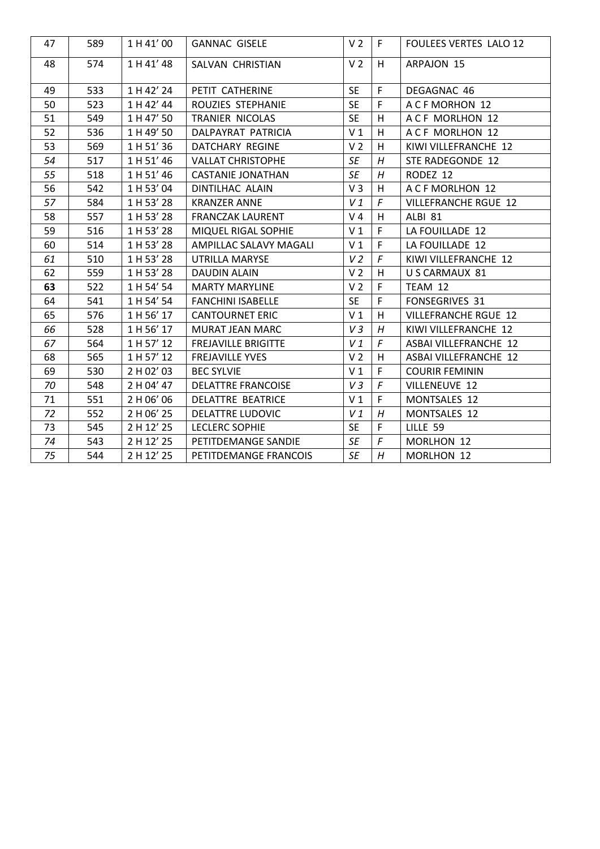| 47 | 589 | 1 H 41' 00 | <b>GANNAC GISELE</b>       | V <sub>2</sub> | F.             | <b>FOULEES VERTES LALO 12</b> |
|----|-----|------------|----------------------------|----------------|----------------|-------------------------------|
| 48 | 574 | 1 H 41' 48 | SALVAN CHRISTIAN           | V <sub>2</sub> | H              | ARPAJON 15                    |
| 49 | 533 | 1 H 42' 24 | PETIT CATHERINE            | <b>SE</b>      | F              | DEGAGNAC 46                   |
| 50 | 523 | 1 H 42' 44 | ROUZIES STEPHANIE          | <b>SE</b>      | F              | A C F MORHON 12               |
| 51 | 549 | 1 H 47' 50 | TRANIER NICOLAS            | <b>SE</b>      | H              | A C F MORLHON 12              |
| 52 | 536 | 1 H 49' 50 | DALPAYRAT PATRICIA         | V <sub>1</sub> | H              | ACF MORLHON 12                |
| 53 | 569 | 1 H 51' 36 | DATCHARY REGINE            | V <sub>2</sub> | H              | KIWI VILLEFRANCHE 12          |
| 54 | 517 | 1 H 51' 46 | <b>VALLAT CHRISTOPHE</b>   | SE             | H              | STE RADEGONDE 12              |
| 55 | 518 | 1 H 51' 46 | <b>CASTANIE JONATHAN</b>   | SE             | H              | RODEZ 12                      |
| 56 | 542 | 1 H 53' 04 | DINTILHAC ALAIN            | $V_3$          | H              | A C F MORLHON 12              |
| 57 | 584 | 1 H 53' 28 | KRANZER ANNE               | V 1            | $\digamma$     | <b>VILLEFRANCHE RGUE 12</b>   |
| 58 | 557 | 1 H 53' 28 | <b>FRANCZAK LAURENT</b>    | $V_4$          | H              | ALBI 81                       |
| 59 | 516 | 1 H 53' 28 | MIQUEL RIGAL SOPHIE        | V <sub>1</sub> | $\mathsf F$    | LA FOUILLADE 12               |
| 60 | 514 | 1 H 53' 28 | AMPILLAC SALAVY MAGALI     | V <sub>1</sub> | $\mathsf F$    | LA FOUILLADE 12               |
| 61 | 510 | 1 H 53' 28 | UTRILLA MARYSE             | V <sub>2</sub> | $\sqrt{F}$     | KIWI VILLEFRANCHE 12          |
| 62 | 559 | 1 H 53' 28 | <b>DAUDIN ALAIN</b>        | V <sub>2</sub> | H              | U S CARMAUX 81                |
| 63 | 522 | 1 H 54' 54 | <b>MARTY MARYLINE</b>      | V <sub>2</sub> | $\mathsf F$    | TEAM 12                       |
| 64 | 541 | 1 H 54' 54 | <b>FANCHINI ISABELLE</b>   | <b>SE</b>      | $\mathsf F$    | <b>FONSEGRIVES 31</b>         |
| 65 | 576 | 1 H 56' 17 | <b>CANTOURNET ERIC</b>     | V <sub>1</sub> | H              | <b>VILLEFRANCHE RGUE 12</b>   |
| 66 | 528 | 1 H 56' 17 | <b>MURAT JEAN MARC</b>     | V3             | Η              | KIWI VILLEFRANCHE 12          |
| 67 | 564 | 1 H 57' 12 | <b>FREJAVILLE BRIGITTE</b> | V1             | $\overline{F}$ | ASBAI VILLEFRANCHE 12         |
| 68 | 565 | 1 H 57' 12 | <b>FREJAVILLE YVES</b>     | V <sub>2</sub> | H              | ASBAI VILLEFRANCHE 12         |
| 69 | 530 | 2 H 02' 03 | <b>BEC SYLVIE</b>          | V <sub>1</sub> | $\mathsf F$    | <b>COURIR FEMININ</b>         |
| 70 | 548 | 2 H 04' 47 | <b>DELATTRE FRANCOISE</b>  | V3             | $\sqrt{F}$     | <b>VILLENEUVE 12</b>          |
| 71 | 551 | 2 H 06' 06 | DELATTRE BEATRICE          | V <sub>1</sub> | F              | MONTSALES 12                  |
| 72 | 552 | 2 H 06' 25 | DELATTRE LUDOVIC           | V 1            | H              | MONTSALES 12                  |
| 73 | 545 | 2 H 12' 25 | <b>LECLERC SOPHIE</b>      | <b>SE</b>      | F              | LILLE <sub>59</sub>           |
| 74 | 543 | 2 H 12' 25 | PETITDEMANGE SANDIE        | SE             | $\digamma$     | MORLHON 12                    |
| 75 | 544 | 2 H 12' 25 | PETITDEMANGE FRANCOIS      | SE             | H              | MORLHON 12                    |